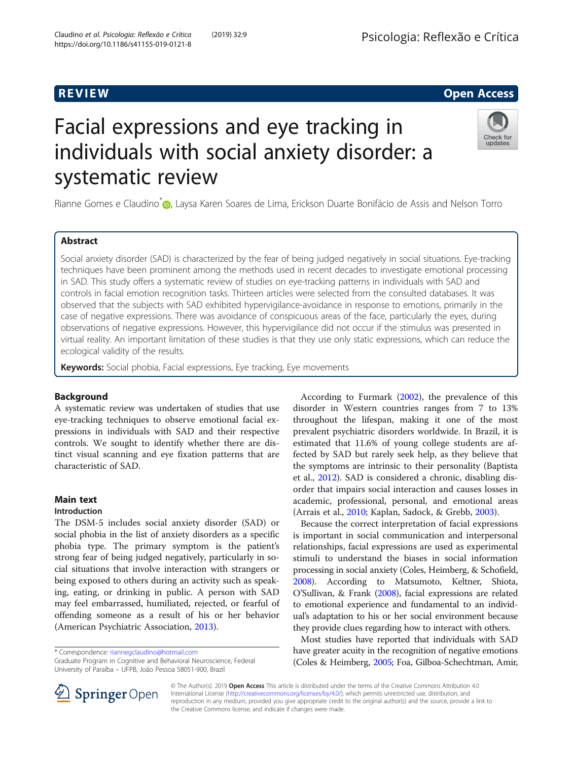# R EVI EW Open Access

# Facial expressions and eye tracking in individuals with social anxiety disorder: a systematic review



Rianne Gomes e Claudino<sup>\*</sup> <sub>(b</sub>[,](http://orcid.org/0000-0001-7510-6449) Laysa Karen Soares de Lima, Erickson Duarte Bonifácio de Assis and Nelson Torro

# Abstract

Social anxiety disorder (SAD) is characterized by the fear of being judged negatively in social situations. Eye-tracking techniques have been prominent among the methods used in recent decades to investigate emotional processing in SAD. This study offers a systematic review of studies on eye-tracking patterns in individuals with SAD and controls in facial emotion recognition tasks. Thirteen articles were selected from the consulted databases. It was observed that the subjects with SAD exhibited hypervigilance-avoidance in response to emotions, primarily in the case of negative expressions. There was avoidance of conspicuous areas of the face, particularly the eyes, during observations of negative expressions. However, this hypervigilance did not occur if the stimulus was presented in virtual reality. An important limitation of these studies is that they use only static expressions, which can reduce the ecological validity of the results.

Keywords: Social phobia, Facial expressions, Eye tracking, Eye movements

# Background

A systematic review was undertaken of studies that use eye-tracking techniques to observe emotional facial expressions in individuals with SAD and their respective controls. We sought to identify whether there are distinct visual scanning and eye fixation patterns that are characteristic of SAD.

# Main text

## Introduction

The DSM-5 includes social anxiety disorder (SAD) or social phobia in the list of anxiety disorders as a specific phobia type. The primary symptom is the patient's strong fear of being judged negatively, particularly in social situations that involve interaction with strangers or being exposed to others during an activity such as speaking, eating, or drinking in public. A person with SAD may feel embarrassed, humiliated, rejected, or fearful of offending someone as a result of his or her behavior (American Psychiatric Association, [2013\)](#page-8-0).

\* Correspondence: [riannegclaudino@hotmail.com](mailto:riannegclaudino@hotmail.com)

Graduate Program in Cognitive and Behavioral Neuroscience, Federal University of Paraíba – UFPB, João Pessoa 58051-900, Brazil



Because the correct interpretation of facial expressions is important in social communication and interpersonal relationships, facial expressions are used as experimental stimuli to understand the biases in social information processing in social anxiety (Coles, Heimberg, & Schofield, [2008\)](#page-8-0). According to Matsumoto, Keltner, Shiota, O'Sullivan, & Frank ([2008\)](#page-8-0), facial expressions are related to emotional experience and fundamental to an individual's adaptation to his or her social environment because they provide clues regarding how to interact with others.

Most studies have reported that individuals with SAD have greater acuity in the recognition of negative emotions (Coles & Heimberg, [2005](#page-8-0); Foa, Gilboa-Schechtman, Amir,



© The Author(s). 2019 Open Access This article is distributed under the terms of the Creative Commons Attribution 4.0 International License ([http://creativecommons.org/licenses/by/4.0/\)](http://creativecommons.org/licenses/by/4.0/), which permits unrestricted use, distribution, and reproduction in any medium, provided you give appropriate credit to the original author(s) and the source, provide a link to the Creative Commons license, and indicate if changes were made.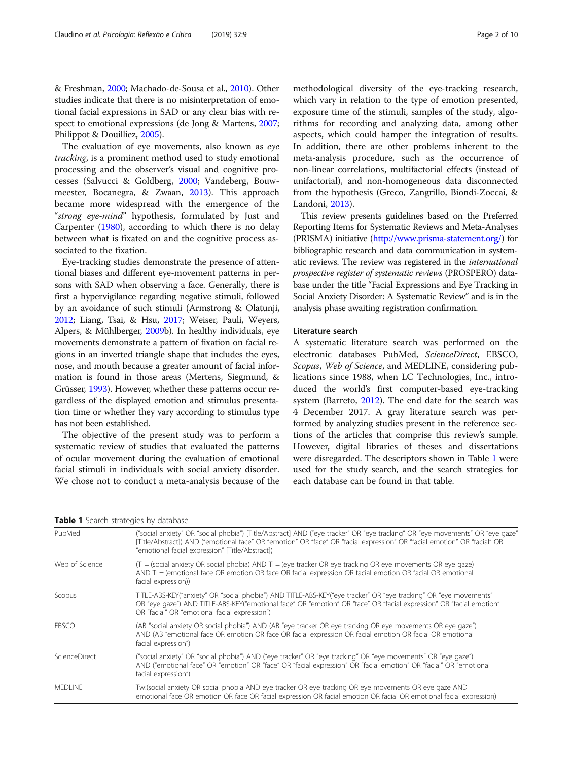<span id="page-1-0"></span>& Freshman, [2000;](#page-8-0) Machado-de-Sousa et al., [2010\)](#page-8-0). Other studies indicate that there is no misinterpretation of emotional facial expressions in SAD or any clear bias with respect to emotional expressions (de Jong & Martens, [2007](#page-8-0); Philippot & Douilliez, [2005](#page-9-0)).

The evaluation of eye movements, also known as eye tracking, is a prominent method used to study emotional processing and the observer's visual and cognitive processes (Salvucci & Goldberg, [2000;](#page-9-0) Vandeberg, Bouwmeester, Bocanegra, & Zwaan, [2013\)](#page-9-0). This approach became more widespread with the emergence of the "strong eye-mind" hypothesis, formulated by Just and Carpenter [\(1980\)](#page-8-0), according to which there is no delay between what is fixated on and the cognitive process associated to the fixation.

Eye-tracking studies demonstrate the presence of attentional biases and different eye-movement patterns in persons with SAD when observing a face. Generally, there is first a hypervigilance regarding negative stimuli, followed by an avoidance of such stimuli (Armstrong & Olatunji, [2012;](#page-8-0) Liang, Tsai, & Hsu, [2017;](#page-8-0) Weiser, Pauli, Weyers, Alpers, & Mühlberger, [2009b](#page-9-0)). In healthy individuals, eye movements demonstrate a pattern of fixation on facial regions in an inverted triangle shape that includes the eyes, nose, and mouth because a greater amount of facial information is found in those areas (Mertens, Siegmund, & Grüsser, [1993](#page-8-0)). However, whether these patterns occur regardless of the displayed emotion and stimulus presentation time or whether they vary according to stimulus type has not been established.

The objective of the present study was to perform a systematic review of studies that evaluated the patterns of ocular movement during the evaluation of emotional facial stimuli in individuals with social anxiety disorder. We chose not to conduct a meta-analysis because of the methodological diversity of the eye-tracking research, which vary in relation to the type of emotion presented, exposure time of the stimuli, samples of the study, algorithms for recording and analyzing data, among other aspects, which could hamper the integration of results. In addition, there are other problems inherent to the meta-analysis procedure, such as the occurrence of non-linear correlations, multifactorial effects (instead of unifactorial), and non-homogeneous data disconnected from the hypothesis (Greco, Zangrillo, Biondi-Zoccai, & Landoni, [2013](#page-8-0)).

This review presents guidelines based on the Preferred Reporting Items for Systematic Reviews and Meta-Analyses (PRISMA) initiative [\(http://www.prisma-statement.org/](http://www.prisma-statement.org/)) for bibliographic research and data communication in systematic reviews. The review was registered in the international prospective register of systematic reviews (PROSPERO) database under the title "Facial Expressions and Eye Tracking in Social Anxiety Disorder: A Systematic Review" and is in the analysis phase awaiting registration confirmation.

#### Literature search

A systematic literature search was performed on the electronic databases PubMed, ScienceDirect, EBSCO, Scopus, Web of Science, and MEDLINE, considering publications since 1988, when LC Technologies, Inc., introduced the world's first computer-based eye-tracking system (Barreto, [2012\)](#page-8-0). The end date for the search was 4 December 2017. A gray literature search was performed by analyzing studies present in the reference sections of the articles that comprise this review's sample. However, digital libraries of theses and dissertations were disregarded. The descriptors shown in Table 1 were used for the study search, and the search strategies for each database can be found in that table.

|  | Table 1 Search strategies by database |  |
|--|---------------------------------------|--|
|--|---------------------------------------|--|

| . scarch strategies by adtabase |                                                                                                                                                                                                                                                                                                             |  |  |  |  |
|---------------------------------|-------------------------------------------------------------------------------------------------------------------------------------------------------------------------------------------------------------------------------------------------------------------------------------------------------------|--|--|--|--|
| PubMed                          | ("social anxiety" OR "social phobia") [Title/Abstract] AND ("eye tracker" OR "eye tracking" OR "eye movements" OR "eye qaze"<br>[Title/Abstract]) AND ("emotional face" OR "emotion" OR "face" OR "facial expression" OR "facial emotion" OR "facial" OR<br>"emotional facial expression" [Title/Abstract]) |  |  |  |  |
| Web of Science                  | $(T = (social$ anxiety OR social phobia) AND $T = (eye$ tracker OR eye tracking OR eye movements OR eye gaze)<br>AND TI = (emotional face OR emotion OR face OR facial expression OR facial emotion OR facial OR emotional<br>facial expression))                                                           |  |  |  |  |
| Scopus                          | TITLE-ABS-KEY("anxiety" OR "social phobia") AND TITLE-ABS-KEY("eye tracker" OR "eye tracking" OR "eye movements"<br>OR "eve gaze") AND TITLE-ABS-KEY("emotional face" OR "emotion" OR "face" OR "facial expression" OR "facial emotion"<br>OR "facial" OR "emotional facial expression")                    |  |  |  |  |
| <b>FBSCO</b>                    | (AB "social anxiety OR social phobia") AND (AB "eye tracker OR eye tracking OR eye movements OR eye gaze")<br>AND (AB "emotional face OR emotion OR face OR facial expression OR facial emotion OR facial OR emotional<br>facial expression")                                                               |  |  |  |  |
| ScienceDirect                   | ("social anxiety" OR "social phobia") AND ("eye tracker" OR "eye tracking" OR "eye movements" OR "eye gaze")<br>AND ("emotional face" OR "emotion" OR "face" OR "facial expression" OR "facial emotion" OR "facial" OR "emotional<br>facial expression")                                                    |  |  |  |  |
| <b>MEDLINE</b>                  | Tw:(social anxiety OR social phobia AND eye tracker OR eye tracking OR eye movements OR eye gaze AND<br>emotional face OR emotion OR face OR facial expression OR facial emotion OR facial OR emotional facial expression)                                                                                  |  |  |  |  |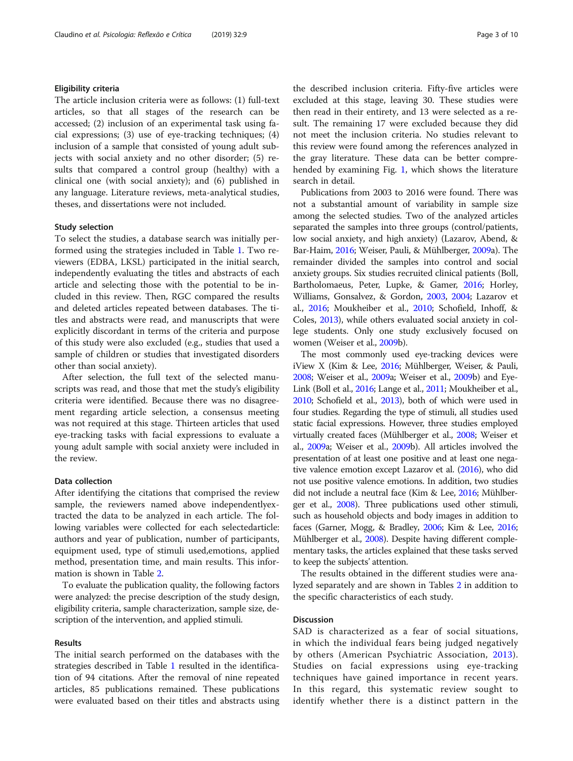### Eligibility criteria

The article inclusion criteria were as follows: (1) full-text articles, so that all stages of the research can be accessed; (2) inclusion of an experimental task using facial expressions; (3) use of eye-tracking techniques; (4) inclusion of a sample that consisted of young adult subjects with social anxiety and no other disorder; (5) results that compared a control group (healthy) with a clinical one (with social anxiety); and (6) published in any language. Literature reviews, meta-analytical studies, theses, and dissertations were not included.

#### Study selection

To select the studies, a database search was initially performed using the strategies included in Table [1.](#page-1-0) Two reviewers (EDBA, LKSL) participated in the initial search, independently evaluating the titles and abstracts of each article and selecting those with the potential to be included in this review. Then, RGC compared the results and deleted articles repeated between databases. The titles and abstracts were read, and manuscripts that were explicitly discordant in terms of the criteria and purpose of this study were also excluded (e.g., studies that used a sample of children or studies that investigated disorders other than social anxiety).

After selection, the full text of the selected manuscripts was read, and those that met the study's eligibility criteria were identified. Because there was no disagreement regarding article selection, a consensus meeting was not required at this stage. Thirteen articles that used eye-tracking tasks with facial expressions to evaluate a young adult sample with social anxiety were included in the review.

#### Data collection

After identifying the citations that comprised the review sample, the reviewers named above independentlyextracted the data to be analyzed in each article. The following variables were collected for each selectedarticle: authors and year of publication, number of participants, equipment used, type of stimuli used,emotions, applied method, presentation time, and main results. This information is shown in Table [2](#page-3-0).

To evaluate the publication quality, the following factors were analyzed: the precise description of the study design, eligibility criteria, sample characterization, sample size, description of the intervention, and applied stimuli.

#### Results

The initial search performed on the databases with the strategies described in Table [1](#page-1-0) resulted in the identification of 94 citations. After the removal of nine repeated articles, 85 publications remained. These publications were evaluated based on their titles and abstracts using

the described inclusion criteria. Fifty-five articles were excluded at this stage, leaving 30. These studies were then read in their entirety, and 13 were selected as a result. The remaining 17 were excluded because they did not meet the inclusion criteria. No studies relevant to this review were found among the references analyzed in the gray literature. These data can be better comprehended by examining Fig. [1,](#page-5-0) which shows the literature search in detail.

Publications from 2003 to 2016 were found. There was not a substantial amount of variability in sample size among the selected studies. Two of the analyzed articles separated the samples into three groups (control/patients, low social anxiety, and high anxiety) (Lazarov, Abend, & Bar-Haim, [2016](#page-8-0); Weiser, Pauli, & Mühlberger, [2009](#page-9-0)a). The remainder divided the samples into control and social anxiety groups. Six studies recruited clinical patients (Boll, Bartholomaeus, Peter, Lupke, & Gamer, [2016](#page-8-0); Horley, Williams, Gonsalvez, & Gordon, [2003](#page-8-0), [2004;](#page-8-0) Lazarov et al., [2016;](#page-8-0) Moukheiber et al., [2010;](#page-8-0) Schofield, Inhoff, & Coles, [2013\)](#page-9-0), while others evaluated social anxiety in college students. Only one study exclusively focused on women (Weiser et al., [2009b](#page-9-0)).

The most commonly used eye-tracking devices were iView X (Kim & Lee, [2016;](#page-8-0) Mühlberger, Weiser, & Pauli, [2008;](#page-9-0) Weiser et al., [2009](#page-9-0)a; Weiser et al., [2009](#page-9-0)b) and Eye-Link (Boll et al., [2016;](#page-8-0) Lange et al., [2011](#page-8-0); Moukheiber et al., [2010;](#page-8-0) Schofield et al., [2013](#page-9-0)), both of which were used in four studies. Regarding the type of stimuli, all studies used static facial expressions. However, three studies employed virtually created faces (Mühlberger et al., [2008;](#page-9-0) Weiser et al., [2009a](#page-9-0); Weiser et al., [2009b](#page-9-0)). All articles involved the presentation of at least one positive and at least one negative valence emotion except Lazarov et al. ([2016\)](#page-8-0), who did not use positive valence emotions. In addition, two studies did not include a neutral face (Kim & Lee, [2016;](#page-8-0) Mühlberger et al., [2008](#page-9-0)). Three publications used other stimuli, such as household objects and body images in addition to faces (Garner, Mogg, & Bradley, [2006](#page-8-0); Kim & Lee, [2016](#page-8-0); Mühlberger et al., [2008\)](#page-9-0). Despite having different complementary tasks, the articles explained that these tasks served to keep the subjects' attention.

The results obtained in the different studies were analyzed separately and are shown in Tables [2](#page-3-0) in addition to the specific characteristics of each study.

#### Discussion

SAD is characterized as a fear of social situations, in which the individual fears being judged negatively by others (American Psychiatric Association, [2013](#page-8-0)). Studies on facial expressions using eye-tracking techniques have gained importance in recent years. In this regard, this systematic review sought to identify whether there is a distinct pattern in the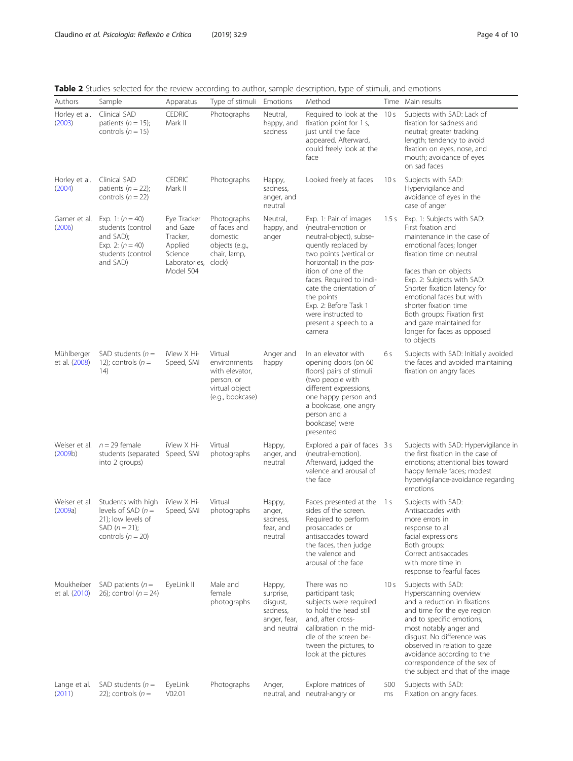| Authors                     | Sample                                                                                                      | Apparatus                                                                                      | Type of stimuli                                                                               | Emotions                                                                   | aathof, sample aesemption, type<br>Method                                                                                                                                                                                                                                                                                           |                 | Time Main results                                                                                                                                                                                                                                                                                                                                                                        |
|-----------------------------|-------------------------------------------------------------------------------------------------------------|------------------------------------------------------------------------------------------------|-----------------------------------------------------------------------------------------------|----------------------------------------------------------------------------|-------------------------------------------------------------------------------------------------------------------------------------------------------------------------------------------------------------------------------------------------------------------------------------------------------------------------------------|-----------------|------------------------------------------------------------------------------------------------------------------------------------------------------------------------------------------------------------------------------------------------------------------------------------------------------------------------------------------------------------------------------------------|
| Horley et al.<br>(2003)     | Clinical SAD<br>patients ( $n = 15$ );<br>controls ( $n = 15$ )                                             | <b>CEDRIC</b><br>Mark II                                                                       | Photographs                                                                                   | Neutral,<br>happy, and<br>sadness                                          | Required to look at the 10s<br>fixation point for 1 s,<br>just until the face<br>appeared. Afterward,<br>could freely look at the<br>face                                                                                                                                                                                           |                 | Subjects with SAD: Lack of<br>fixation for sadness and<br>neutral; greater tracking<br>length; tendency to avoid<br>fixation on eyes, nose, and<br>mouth; avoidance of eyes<br>on sad faces                                                                                                                                                                                              |
| Horley et al.<br>(2004)     | Clinical SAD<br>patients $(n = 22)$ ;<br>controls $(n = 22)$                                                | <b>CEDRIC</b><br>Mark II                                                                       | Photographs                                                                                   | Happy,<br>sadness,<br>anger, and<br>neutral                                | Looked freely at faces                                                                                                                                                                                                                                                                                                              | 10 <sub>s</sub> | Subjects with SAD:<br>Hypervigilance and<br>avoidance of eyes in the<br>case of anger                                                                                                                                                                                                                                                                                                    |
| Garner et al.<br>(2006)     | Exp. 1: $(n = 40)$<br>students (control<br>and SAD);<br>Exp. 2: $(n = 40)$<br>students (control<br>and SAD) | Eye Tracker<br>and Gaze<br>Tracker,<br>Applied<br>Science<br>Laboratories, clock)<br>Model 504 | Photographs<br>of faces and<br>domestic<br>objects (e.g.,<br>chair, lamp,                     | Neutral.<br>happy, and<br>anger                                            | Exp. 1: Pair of images<br>(neutral-emotion or<br>neutral-object), subse-<br>quently replaced by<br>two points (vertical or<br>horizontal) in the pos-<br>ition of one of the<br>faces. Required to indi-<br>cate the orientation of<br>the points<br>Exp. 2: Before Task 1<br>were instructed to<br>present a speech to a<br>camera | 1.5s            | Exp. 1: Subjects with SAD:<br>First fixation and<br>maintenance in the case of<br>emotional faces; longer<br>fixation time on neutral<br>faces than on objects<br>Exp. 2: Subjects with SAD:<br>Shorter fixation latency for<br>emotional faces but with<br>shorter fixation time<br>Both groups: Fixation first<br>and gaze maintained for<br>longer for faces as opposed<br>to objects |
| Mühlberger<br>et al. (2008) | SAD students $(n =$<br>12); controls $(n=$<br>14)                                                           | iView X Hi-<br>Speed, SMI                                                                      | Virtual<br>environments<br>with elevator,<br>person, or<br>virtual object<br>(e.g., bookcase) | Anger and<br>happy                                                         | In an elevator with<br>opening doors (on 60<br>floors) pairs of stimuli<br>(two people with<br>different expressions,<br>one happy person and<br>a bookcase, one angry<br>person and a<br>bookcase) were<br>presented                                                                                                               | 6 s             | Subjects with SAD: Initially avoided<br>the faces and avoided maintaining<br>fixation on angry faces                                                                                                                                                                                                                                                                                     |
| (2009b)                     | Weiser et al. $n = 29$ female<br>students (separated<br>into 2 groups)                                      | iView X Hi-<br>Speed, SMI                                                                      | Virtual<br>photographs                                                                        | Happy,<br>anger, and<br>neutral                                            | Explored a pair of faces 3 s<br>(neutral-emotion).<br>Afterward, judged the<br>valence and arousal of<br>the face                                                                                                                                                                                                                   |                 | Subjects with SAD: Hypervigilance in<br>the first fixation in the case of<br>emotions; attentional bias toward<br>happy female faces; modest<br>hypervigilance-avoidance regarding<br>emotions                                                                                                                                                                                           |
| Weiser et al.<br>(2009a)    | Students with high<br>levels of SAD $(n =$<br>21): low levels of<br>SAD $(n = 21)$ ;<br>controls $(n = 20)$ | iView X Hi-<br>Speed, SMI                                                                      | Virtual<br>photographs                                                                        | Happy,<br>anger,<br>sadness,<br>fear, and<br>neutral                       | Faces presented at the 1s<br>sides of the screen.<br>Required to perform<br>prosaccades or<br>antisaccades toward<br>the faces, then judge<br>the valence and<br>arousal of the face                                                                                                                                                |                 | Subjects with SAD:<br>Antisaccades with<br>more errors in<br>response to all<br>facial expressions<br>Both groups:<br>Correct antisaccades<br>with more time in<br>response to fearful faces                                                                                                                                                                                             |
| Moukheiber<br>et al. (2010) | SAD patients $(n =$<br>26); control $(n = 24)$                                                              | EyeLink II                                                                                     | Male and<br>female<br>photographs                                                             | Happy,<br>surprise,<br>disqust,<br>sadness,<br>anger, fear,<br>and neutral | There was no<br>participant task;<br>subjects were required<br>to hold the head still<br>and, after cross-<br>calibration in the mid-<br>dle of the screen be-<br>tween the pictures, to<br>look at the pictures                                                                                                                    | 10 <sub>s</sub> | Subjects with SAD:<br>Hyperscanning overview<br>and a reduction in fixations<br>and time for the eye region<br>and to specific emotions,<br>most notably anger and<br>disqust. No difference was<br>observed in relation to gaze<br>avoidance according to the<br>correspondence of the sex of<br>the subject and that of the image                                                      |
| Lange et al.<br>(2011)      | SAD students $(n =$<br>22); controls $(n=$                                                                  | EyeLink<br>V02.01                                                                              | Photographs                                                                                   | Anger,<br>neutral, and                                                     | Explore matrices of<br>neutral-angry or                                                                                                                                                                                                                                                                                             | 500<br>ms       | Subjects with SAD:<br>Fixation on angry faces.                                                                                                                                                                                                                                                                                                                                           |

<span id="page-3-0"></span>Table 2 Studies selected for the review according to author, sample description, type of stimuli, and emotions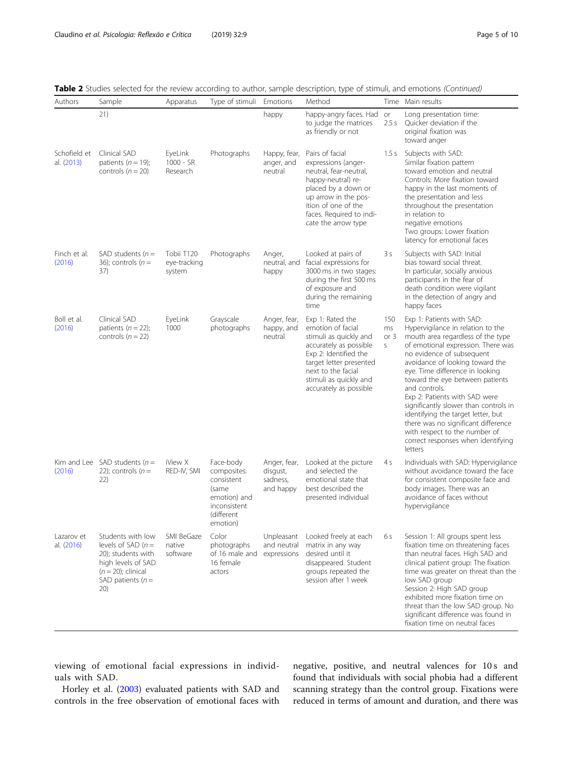| Authors                    | Sample                                                                                                                                      | Apparatus                            | Type of stimuli                                                                                           | Emotions                                          | Method                                                                                                                                                                                                                  |                          | Time Main results                                                                                                                                                                                                                                                                                                                                                                                                                                                                                                                         |
|----------------------------|---------------------------------------------------------------------------------------------------------------------------------------------|--------------------------------------|-----------------------------------------------------------------------------------------------------------|---------------------------------------------------|-------------------------------------------------------------------------------------------------------------------------------------------------------------------------------------------------------------------------|--------------------------|-------------------------------------------------------------------------------------------------------------------------------------------------------------------------------------------------------------------------------------------------------------------------------------------------------------------------------------------------------------------------------------------------------------------------------------------------------------------------------------------------------------------------------------------|
|                            | 21)                                                                                                                                         |                                      |                                                                                                           | happy                                             | happy-angry faces. Had or<br>to judge the matrices<br>as friendly or not                                                                                                                                                | 2.5s                     | Long presentation time:<br>Quicker deviation if the<br>original fixation was<br>toward anger                                                                                                                                                                                                                                                                                                                                                                                                                                              |
| Schofield et<br>al. (2013) | Clinical SAD<br>patients ( $n = 19$ );<br>controls $(n = 20)$                                                                               | EyeLink<br>$1000 - SR$<br>Research   | Photographs                                                                                               | Happy, fear,<br>anger, and<br>neutral             | Pairs of facial<br>expressions (anger-<br>neutral, fear-neutral,<br>happy-neutral) re-<br>placed by a down or<br>up arrow in the pos-<br>ition of one of the<br>faces. Required to indi-<br>cate the arrow type         | 1.5s                     | Subjects with SAD:<br>Similar fixation pattern<br>toward emotion and neutral<br>Controls: More fixation toward<br>happy in the last moments of<br>the presentation and less<br>throughout the presentation<br>in relation to<br>negative emotions<br>Two groups: Lower fixation<br>latency for emotional faces                                                                                                                                                                                                                            |
| Finch et al.<br>(2016)     | SAD students $(n =$<br>36); controls $(n =$<br>37)                                                                                          | Tobii T120<br>eye-tracking<br>system | Photographs                                                                                               | Anger,<br>neutral, and<br>happy                   | Looked at pairs of<br>facial expressions for<br>3000 ms in two stages:<br>during the first 500 ms<br>of exposure and<br>during the remaining<br>time                                                                    | 3s                       | Subjects with SAD: Initial<br>bias toward social threat.<br>In particular, socially anxious<br>participants in the fear of<br>death condition were vigilant<br>in the detection of angry and<br>happy faces                                                                                                                                                                                                                                                                                                                               |
| Boll et al.<br>(2016)      | Clinical SAD<br>patients $(n = 22)$ ;<br>controls $(n = 22)$                                                                                | EyeLink<br>1000                      | Grayscale<br>photographs                                                                                  | Anger, fear,<br>happy, and<br>neutral             | Exp 1: Rated the<br>emotion of facial<br>stimuli as quickly and<br>accurately as possible<br>Exp 2: Identified the<br>target letter presented<br>next to the facial<br>stimuli as quickly and<br>accurately as possible | 150<br>ms<br>or $3$<br>S | Exp 1: Patients with SAD:<br>Hypervigilance in relation to the<br>mouth area regardless of the type<br>of emotional expression. There was<br>no evidence of subsequent<br>avoidance of looking toward the<br>eye. Time difference in looking<br>toward the eye between patients<br>and controls.<br>Exp 2: Patients with SAD were<br>significantly slower than controls in<br>identifying the target letter, but<br>there was no significant difference<br>with respect to the number of<br>correct responses when identifying<br>letters |
| (2016)                     | Kim and Lee SAD students ( $n =$<br>22); controls $(n=$<br>22)                                                                              | iView X<br>RED-IV, SMI               | Face-body<br>composites:<br>consistent<br>(same<br>emotion) and<br>inconsistent<br>(different<br>emotion) | Anger, fear,<br>disgust,<br>sadness.<br>and happy | Looked at the picture<br>and selected the<br>emotional state that<br>best described the<br>presented individual                                                                                                         | 4 s                      | Individuals with SAD: Hypervigilance<br>without avoidance toward the face<br>for consistent composite face and<br>body images. There was an<br>avoidance of faces without<br>hypervigilance                                                                                                                                                                                                                                                                                                                                               |
| Lazarov et<br>al. (2016)   | Students with low<br>levels of SAD $(n =$<br>20); students with<br>high levels of SAD<br>$(n = 20)$ ; clinical<br>SAD patients $(n=$<br>20) | SMI BeGaze<br>native<br>software     | Color<br>photographs<br>of 16 male and<br>16 female<br>actors                                             | Unpleasant<br>and neutral<br>expressions          | Looked freely at each<br>matrix in any way<br>desired until it<br>disappeared. Student<br>groups repeated the<br>session after 1 week                                                                                   | 6 s                      | Session 1: All groups spent less<br>fixation time on threatening faces<br>than neutral faces. High SAD and<br>clinical patient group: The fixation<br>time was greater on threat than the<br>low SAD group<br>Session 2: High SAD group<br>exhibited more fixation time on<br>threat than the low SAD group. No<br>significant difference was found in<br>fixation time on neutral faces                                                                                                                                                  |

Table 2 Studies selected for the review according to author, sample description, type of stimuli, and emotions (Continued)

viewing of emotional facial expressions in individuals with SAD.

Horley et al. ([2003](#page-8-0)) evaluated patients with SAD and controls in the free observation of emotional faces with negative, positive, and neutral valences for 10 s and found that individuals with social phobia had a different scanning strategy than the control group. Fixations were reduced in terms of amount and duration, and there was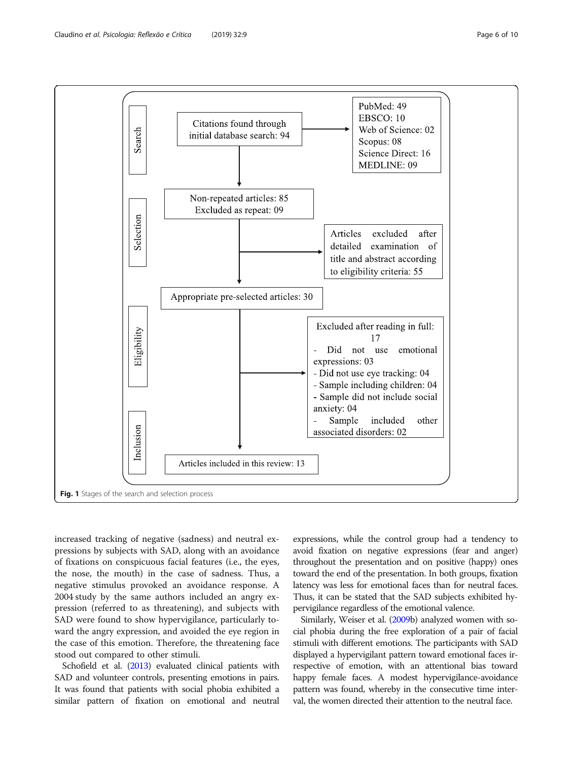<span id="page-5-0"></span>

increased tracking of negative (sadness) and neutral expressions by subjects with SAD, along with an avoidance of fixations on conspicuous facial features (i.e., the eyes, the nose, the mouth) in the case of sadness. Thus, a negative stimulus provoked an avoidance response. A 2004 study by the same authors included an angry expression (referred to as threatening), and subjects with SAD were found to show hypervigilance, particularly toward the angry expression, and avoided the eye region in the case of this emotion. Therefore, the threatening face stood out compared to other stimuli.

Schofield et al. [\(2013](#page-9-0)) evaluated clinical patients with SAD and volunteer controls, presenting emotions in pairs. It was found that patients with social phobia exhibited a similar pattern of fixation on emotional and neutral

expressions, while the control group had a tendency to avoid fixation on negative expressions (fear and anger) throughout the presentation and on positive (happy) ones toward the end of the presentation. In both groups, fixation latency was less for emotional faces than for neutral faces. Thus, it can be stated that the SAD subjects exhibited hypervigilance regardless of the emotional valence.

Similarly, Weiser et al. ([2009](#page-9-0)b) analyzed women with social phobia during the free exploration of a pair of facial stimuli with different emotions. The participants with SAD displayed a hypervigilant pattern toward emotional faces irrespective of emotion, with an attentional bias toward happy female faces. A modest hypervigilance-avoidance pattern was found, whereby in the consecutive time interval, the women directed their attention to the neutral face.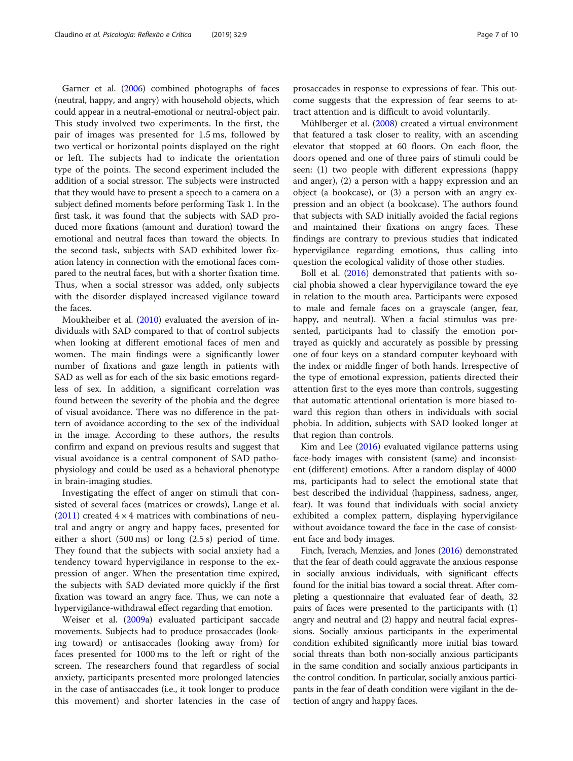Garner et al. [\(2006](#page-8-0)) combined photographs of faces (neutral, happy, and angry) with household objects, which could appear in a neutral-emotional or neutral-object pair. This study involved two experiments. In the first, the pair of images was presented for 1.5 ms, followed by two vertical or horizontal points displayed on the right or left. The subjects had to indicate the orientation type of the points. The second experiment included the addition of a social stressor. The subjects were instructed that they would have to present a speech to a camera on a subject defined moments before performing Task 1. In the first task, it was found that the subjects with SAD produced more fixations (amount and duration) toward the emotional and neutral faces than toward the objects. In the second task, subjects with SAD exhibited lower fixation latency in connection with the emotional faces compared to the neutral faces, but with a shorter fixation time. Thus, when a social stressor was added, only subjects with the disorder displayed increased vigilance toward the faces.

Moukheiber et al. [\(2010\)](#page-8-0) evaluated the aversion of individuals with SAD compared to that of control subjects when looking at different emotional faces of men and women. The main findings were a significantly lower number of fixations and gaze length in patients with SAD as well as for each of the six basic emotions regardless of sex. In addition, a significant correlation was found between the severity of the phobia and the degree of visual avoidance. There was no difference in the pattern of avoidance according to the sex of the individual in the image. According to these authors, the results confirm and expand on previous results and suggest that visual avoidance is a central component of SAD pathophysiology and could be used as a behavioral phenotype in brain-imaging studies.

Investigating the effect of anger on stimuli that consisted of several faces (matrices or crowds), Lange et al. ([2011\)](#page-8-0) created  $4 \times 4$  matrices with combinations of neutral and angry or angry and happy faces, presented for either a short (500 ms) or long (2.5 s) period of time. They found that the subjects with social anxiety had a tendency toward hypervigilance in response to the expression of anger. When the presentation time expired, the subjects with SAD deviated more quickly if the first fixation was toward an angry face. Thus, we can note a hypervigilance-withdrawal effect regarding that emotion.

Weiser et al. [\(2009](#page-9-0)a) evaluated participant saccade movements. Subjects had to produce prosaccades (looking toward) or antisaccades (looking away from) for faces presented for 1000 ms to the left or right of the screen. The researchers found that regardless of social anxiety, participants presented more prolonged latencies in the case of antisaccades (i.e., it took longer to produce this movement) and shorter latencies in the case of

prosaccades in response to expressions of fear. This outcome suggests that the expression of fear seems to attract attention and is difficult to avoid voluntarily.

Mühlberger et al. ([2008](#page-9-0)) created a virtual environment that featured a task closer to reality, with an ascending elevator that stopped at 60 floors. On each floor, the doors opened and one of three pairs of stimuli could be seen: (1) two people with different expressions (happy and anger), (2) a person with a happy expression and an object (a bookcase), or (3) a person with an angry expression and an object (a bookcase). The authors found that subjects with SAD initially avoided the facial regions and maintained their fixations on angry faces. These findings are contrary to previous studies that indicated hypervigilance regarding emotions, thus calling into question the ecological validity of those other studies.

Boll et al. ([2016](#page-8-0)) demonstrated that patients with social phobia showed a clear hypervigilance toward the eye in relation to the mouth area. Participants were exposed to male and female faces on a grayscale (anger, fear, happy, and neutral). When a facial stimulus was presented, participants had to classify the emotion portrayed as quickly and accurately as possible by pressing one of four keys on a standard computer keyboard with the index or middle finger of both hands. Irrespective of the type of emotional expression, patients directed their attention first to the eyes more than controls, suggesting that automatic attentional orientation is more biased toward this region than others in individuals with social phobia. In addition, subjects with SAD looked longer at that region than controls.

Kim and Lee ([2016\)](#page-8-0) evaluated vigilance patterns using face-body images with consistent (same) and inconsistent (different) emotions. After a random display of 4000 ms, participants had to select the emotional state that best described the individual (happiness, sadness, anger, fear). It was found that individuals with social anxiety exhibited a complex pattern, displaying hypervigilance without avoidance toward the face in the case of consistent face and body images.

Finch, Iverach, Menzies, and Jones ([2016\)](#page-8-0) demonstrated that the fear of death could aggravate the anxious response in socially anxious individuals, with significant effects found for the initial bias toward a social threat. After completing a questionnaire that evaluated fear of death, 32 pairs of faces were presented to the participants with (1) angry and neutral and (2) happy and neutral facial expressions. Socially anxious participants in the experimental condition exhibited significantly more initial bias toward social threats than both non-socially anxious participants in the same condition and socially anxious participants in the control condition. In particular, socially anxious participants in the fear of death condition were vigilant in the detection of angry and happy faces.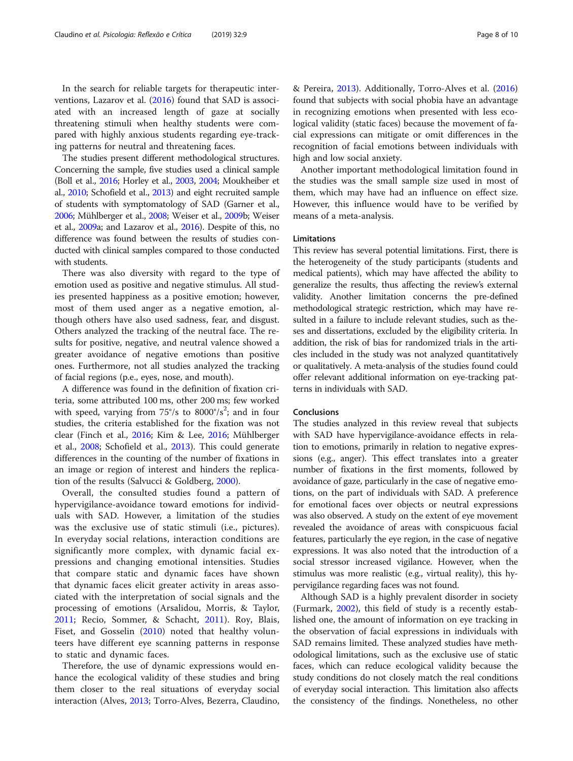In the search for reliable targets for therapeutic interventions, Lazarov et al. [\(2016](#page-8-0)) found that SAD is associated with an increased length of gaze at socially threatening stimuli when healthy students were compared with highly anxious students regarding eye-tracking patterns for neutral and threatening faces.

The studies present different methodological structures. Concerning the sample, five studies used a clinical sample (Boll et al., [2016](#page-8-0); Horley et al., [2003,](#page-8-0) [2004;](#page-8-0) Moukheiber et al., [2010;](#page-8-0) Schofield et al., [2013](#page-9-0)) and eight recruited sample of students with symptomatology of SAD (Garner et al., [2006;](#page-8-0) Mühlberger et al., [2008;](#page-9-0) Weiser et al., [2009b](#page-9-0); Weiser et al., [2009a](#page-9-0); and Lazarov et al., [2016](#page-8-0)). Despite of this, no difference was found between the results of studies conducted with clinical samples compared to those conducted with students.

There was also diversity with regard to the type of emotion used as positive and negative stimulus. All studies presented happiness as a positive emotion; however, most of them used anger as a negative emotion, although others have also used sadness, fear, and disgust. Others analyzed the tracking of the neutral face. The results for positive, negative, and neutral valence showed a greater avoidance of negative emotions than positive ones. Furthermore, not all studies analyzed the tracking of facial regions (p.e., eyes, nose, and mouth).

A difference was found in the definition of fixation criteria, some attributed 100 ms, other 200 ms; few worked with speed, varying from  $75^{\circ}/\text{s}$  to  $8000^{\circ}/\text{s}^2$ ; and in four studies, the criteria established for the fixation was not clear (Finch et al., [2016;](#page-8-0) Kim & Lee, [2016](#page-8-0); Mühlberger et al., [2008](#page-9-0); Schofield et al., [2013\)](#page-9-0). This could generate differences in the counting of the number of fixations in an image or region of interest and hinders the replication of the results (Salvucci & Goldberg, [2000\)](#page-9-0).

Overall, the consulted studies found a pattern of hypervigilance-avoidance toward emotions for individuals with SAD. However, a limitation of the studies was the exclusive use of static stimuli (i.e., pictures). In everyday social relations, interaction conditions are significantly more complex, with dynamic facial expressions and changing emotional intensities. Studies that compare static and dynamic faces have shown that dynamic faces elicit greater activity in areas associated with the interpretation of social signals and the processing of emotions (Arsalidou, Morris, & Taylor, [2011;](#page-8-0) Recio, Sommer, & Schacht, [2011](#page-9-0)). Roy, Blais, Fiset, and Gosselin ([2010\)](#page-9-0) noted that healthy volunteers have different eye scanning patterns in response to static and dynamic faces.

Therefore, the use of dynamic expressions would enhance the ecological validity of these studies and bring them closer to the real situations of everyday social interaction (Alves, [2013](#page-8-0); Torro-Alves, Bezerra, Claudino,

& Pereira, [2013](#page-9-0)). Additionally, Torro-Alves et al. ([2016](#page-9-0)) found that subjects with social phobia have an advantage in recognizing emotions when presented with less ecological validity (static faces) because the movement of facial expressions can mitigate or omit differences in the recognition of facial emotions between individuals with high and low social anxiety.

Another important methodological limitation found in the studies was the small sample size used in most of them, which may have had an influence on effect size. However, this influence would have to be verified by means of a meta-analysis.

#### Limitations

This review has several potential limitations. First, there is the heterogeneity of the study participants (students and medical patients), which may have affected the ability to generalize the results, thus affecting the review's external validity. Another limitation concerns the pre-defined methodological strategic restriction, which may have resulted in a failure to include relevant studies, such as theses and dissertations, excluded by the eligibility criteria. In addition, the risk of bias for randomized trials in the articles included in the study was not analyzed quantitatively or qualitatively. A meta-analysis of the studies found could offer relevant additional information on eye-tracking patterns in individuals with SAD.

#### Conclusions

The studies analyzed in this review reveal that subjects with SAD have hypervigilance-avoidance effects in relation to emotions, primarily in relation to negative expressions (e.g., anger). This effect translates into a greater number of fixations in the first moments, followed by avoidance of gaze, particularly in the case of negative emotions, on the part of individuals with SAD. A preference for emotional faces over objects or neutral expressions was also observed. A study on the extent of eye movement revealed the avoidance of areas with conspicuous facial features, particularly the eye region, in the case of negative expressions. It was also noted that the introduction of a social stressor increased vigilance. However, when the stimulus was more realistic (e.g., virtual reality), this hypervigilance regarding faces was not found.

Although SAD is a highly prevalent disorder in society (Furmark, [2002](#page-8-0)), this field of study is a recently established one, the amount of information on eye tracking in the observation of facial expressions in individuals with SAD remains limited. These analyzed studies have methodological limitations, such as the exclusive use of static faces, which can reduce ecological validity because the study conditions do not closely match the real conditions of everyday social interaction. This limitation also affects the consistency of the findings. Nonetheless, no other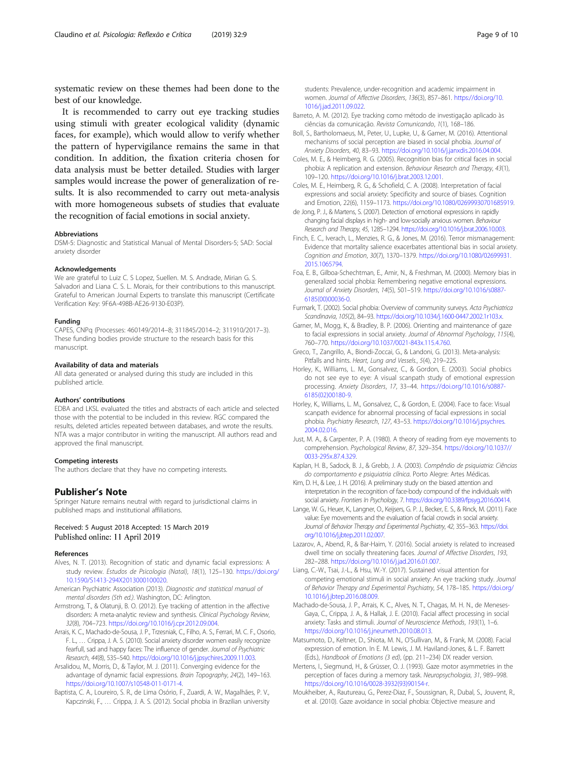<span id="page-8-0"></span>systematic review on these themes had been done to the best of our knowledge.

It is recommended to carry out eye tracking studies using stimuli with greater ecological validity (dynamic faces, for example), which would allow to verify whether the pattern of hypervigilance remains the same in that condition. In addition, the fixation criteria chosen for data analysis must be better detailed. Studies with larger samples would increase the power of generalization of results. It is also recommended to carry out meta-analysis with more homogeneous subsets of studies that evaluate the recognition of facial emotions in social anxiety.

#### Abbreviations

DSM-5: Diagnostic and Statistical Manual of Mental Disorders-5; SAD: Social anxiety disorder

#### Acknowledgements

We are grateful to Luiz C. S Lopez, Suellen. M. S. Andrade, Mirian G. S. Salvadori and Liana C. S. L. Morais, for their contributions to this manuscript. Grateful to American Journal Experts to translate this manuscript (Certificate Verification Key: 9F6A-498B-AE26-9130-E03P).

#### Funding

CAPES, CNPq (Processes: 460149/2014–8; 311845/2014–2; 311910/2017–3). These funding bodies provide structure to the research basis for this manuscript.

#### Availability of data and materials

All data generated or analysed during this study are included in this published article.

#### Authors' contributions

EDBA and LKSL evaluated the titles and abstracts of each article and selected those with the potential to be included in this review. RGC compared the results, deleted articles repeated between databases, and wrote the results. NTA was a major contributor in writing the manuscript. All authors read and approved the final manuscript.

#### Competing interests

The authors declare that they have no competing interests.

#### Publisher's Note

Springer Nature remains neutral with regard to jurisdictional claims in published maps and institutional affiliations.

#### Received: 5 August 2018 Accepted: 15 March 2019 Published online: 11 April 2019

#### References

- Alves, N. T. (2013). Recognition of static and dynamic facial expressions: A study review. Estudos de Psicologia (Natal), 18(1), 125–130. [https://doi.org/](https://doi.org/10.1590/S1413-294X2013000100020) [10.1590/S1413-294X2013000100020](https://doi.org/10.1590/S1413-294X2013000100020).
- American Psychiatric Association (2013). Diagnostic and statistical manual of mental disorders (5th ed.). Washington, DC: Arlington.
- Armstrong, T., & Olatunji, B. O. (2012). Eye tracking of attention in the affective disorders: A meta-analytic review and synthesis. Clinical Psychology Review, 32(8), 704–723. <https://doi.org/10.1016/j.cpr.2012.09.004>.
- Arrais, K. C., Machado-de-Sousa, J. P., Trzesniak, C., Filho, A. S., Ferrari, M. C. F., Osorio, F. L., … Crippa, J. A. S. (2010). Social anxiety disorder women easily recognize fearfull, sad and happy faces: The influence of gender. Journal of Psychiatric Research, 44(8), 535–540. [https://doi.org/10.1016/j.jpsychires.2009.11.003.](https://doi.org/10.1016/j.jpsychires.2009.11.003)
- Arsalidou, M., Morris, D., & Taylor, M. J. (2011). Converging evidence for the advantage of dynamic facial expressions. Brain Topography, 24(2), 149–163. <https://doi.org/10.1007/s10548-011-0171-4>.
- Baptista, C. A., Loureiro, S. R., de Lima Osório, F., Zuardi, A. W., Magalhães, P. V., Kapczinski, F., ... Crippa, J. A. S. (2012). Social phobia in Brazilian university

students: Prevalence, under-recognition and academic impairment in women. Journal of Affective Disorders, 136(3), 857–861. [https://doi.org/10.](https://doi.org/10.1016/j.jad.2011.09.022) [1016/j.jad.2011.09.022](https://doi.org/10.1016/j.jad.2011.09.022).

- Barreto, A. M. (2012). Eye tracking como método de investigação aplicado às ciências da comunicação. Revista Comunicando, 1(1), 168–186.
- Boll, S., Bartholomaeus, M., Peter, U., Lupke, U., & Gamer, M. (2016). Attentional mechanisms of social perception are biased in social phobia. Journal of Anxiety Disorders, 40, 83–93. [https://doi.org/10.1016/j.janxdis.2016.04.004.](https://doi.org/10.1016/j.janxdis.2016.04.004)
- Coles, M. E., & Heimberg, R. G. (2005). Recognition bias for critical faces in social phobia: A replication and extension. Behaviour Research and Therapy, 43(1), 109–120. <https://doi.org/10.1016/j.brat.2003.12.001>.
- Coles, M. E., Heimberg, R. G., & Schofield, C. A. (2008). Interpretation of facial expressions and social anxiety: Specificity and source of biases. Cognition and Emotion, 22(6), 1159–1173. [https://doi.org/10.1080/02699930701685919.](https://doi.org/10.1080/02699930701685919)
- de Jong, P. J., & Martens, S. (2007). Detection of emotional expressions in rapidly changing facial displays in high- and low-socially anxious women. Behaviour Research and Therapy, 45, 1285–1294. [https://doi.org/10.1016/j.brat.2006.10.003.](https://doi.org/10.1016/j.brat.2006.10.003)
- Finch, E. C., Iverach, L., Menzies, R. G., & Jones, M. (2016). Terror mismanagement: Evidence that mortality salience exacerbates attentional bias in social anxiety. Cognition and Emotion, 30(7), 1370–1379. [https://doi.org/10.1080/02699931.](https://doi.org/10.1080/02699931.2015.1065794) [2015.1065794](https://doi.org/10.1080/02699931.2015.1065794).
- Foa, E. B., Gilboa-Schechtman, E., Amir, N., & Freshman, M. (2000). Memory bias in generalized social phobia: Remembering negative emotional expressions. Journal of Anxiety Disorders, 14(5), 501–519. [https://doi.org/10.1016/s0887-](https://doi.org/10.1016/s0887-6185(00)00036-0) [6185\(00\)00036-0](https://doi.org/10.1016/s0887-6185(00)00036-0).
- Furmark, T. (2002). Social phobia: Overview of community surveys. Acta Psychiatrica Scandinavia, 105(2), 84–93. <https://doi.org/10.1034/j.1600-0447.2002.1r103.x>.
- Garner, M., Mogg, K., & Bradley, B. P. (2006). Orienting and maintenance of gaze to facial expressions in social anxiety. Journal of Abnormal Psychology, 115(4), 760–770. [https://doi.org/10.1037/0021-843x.115.4.760.](https://doi.org/10.1037/0021-843x.115.4.760)
- Greco, T., Zangrillo, A., Biondi-Zoccai, G., & Landoni, G. (2013). Meta-analysis: Pitfalls and hints. Heart, Lung and Vessels., 5(4), 219–225.
- Horley, K., Williams, L. M., Gonsalvez, C., & Gordon, E. (2003). Social phobics do not see eye to eye: A visual scanpath study of emotional expression processing. Anxiety Disorders, 17, 33–44. [https://doi.org/10.1016/s0887-](https://doi.org/10.1016/s0887-6185(02)00180-9) [6185\(02\)00180-9.](https://doi.org/10.1016/s0887-6185(02)00180-9)
- Horley, K., Williams, L. M., Gonsalvez, C., & Gordon, E. (2004). Face to face: Visual scanpath evidence for abnormal processing of facial expressions in social phobia. Psychiatry Research, 127, 43–53. [https://doi.org/10.1016/j.psychres.](https://doi.org/10.1016/j.psychres.2004.02.016) [2004.02.016.](https://doi.org/10.1016/j.psychres.2004.02.016)
- Just, M. A., & Carpenter, P. A. (1980). A theory of reading from eye movements to comprehension. Psychological Review, 87, 329–354. [https://doi.org/10.1037//](https://doi.org/10.1037//0033-295x.87.4.329) [0033-295x.87.4.329.](https://doi.org/10.1037//0033-295x.87.4.329)
- Kaplan, H. B., Sadock, B. J., & Grebb, J. A. (2003). Compêndio de psiquiatria: Ciências do comportamento e psiquiatria clínica. Porto Alegre: Artes Médicas.
- Kim, D. H., & Lee, J. H. (2016). A preliminary study on the biased attention and interpretation in the recognition of face-body compound of the individuals with social anxiety. Frontiers In Psychology, 7. <https://doi.org/10.3389/fpsyg.2016.00414>.
- Lange, W. G., Heuer, K., Langner, O., Keijsers, G. P. J., Becker, E. S., & Rinck, M. (2011). Face value: Eye movements and the evaluation of facial crowds in social anxiety. Journal of Behavior Therapy and Experimental Psychiatry, 42, 355–363. [https://doi.](https://doi.org/10.1016/j.jbtep.2011.02.007) [org/10.1016/j.jbtep.2011.02.007.](https://doi.org/10.1016/j.jbtep.2011.02.007)
- Lazarov, A., Abend, R., & Bar-Haim, Y. (2016). Social anxiety is related to increased dwell time on socially threatening faces. Journal of Affective Disorders, 193, 282–288. [https://doi.org/10.1016/j.jad.2016.01.007.](https://doi.org/10.1016/j.jad.2016.01.007)

Liang, C.-W., Tsai, J.-L., & Hsu, W.-Y. (2017). Sustained visual attention for competing emotional stimuli in social anxiety: An eye tracking study. Journal of Behavior Therapy and Experimental Psychiatry, 54, 178–185. [https://doi.org/](https://doi.org/10.1016/j.jbtep.2016.08.009) [10.1016/j.jbtep.2016.08.009.](https://doi.org/10.1016/j.jbtep.2016.08.009)

- Machado-de-Sousa, J. P., Arrais, K. C., Alves, N. T., Chagas, M. H. N., de Meneses-Gaya, C., Crippa, J. A., & Hallak, J. E. (2010). Facial affect processing in social anxiety: Tasks and stimuli. Journal of Neuroscience Methods, 193(1), 1–6. <https://doi.org/10.1016/j.jneumeth.2010.08.013>.
- Matsumoto, D., Keltner, D., Shiota, M. N., O'Sullivan, M., & Frank, M. (2008). Facial expression of emotion. In E. M. Lewis, J. M. Haviland-Jones, & L. F. Barrett (Eds.), Handbook of Emotions (3 ed), (pp. 211–234) DX reader version.
- Mertens, I., Siegmund, H., & Grüsser, O. J. (1993). Gaze motor asymmetries in the perception of faces during a memory task. Neuropsychologia, 31, 989–998. [https://doi.org/10.1016/0028-3932\(93\)90154-r](https://doi.org/10.1016/0028-3932(93)90154-r).
- Moukheiber, A., Rautureau, G., Perez-Diaz, F., Soussignan, R., Dubal, S., Jouvent, R., et al. (2010). Gaze avoidance in social phobia: Objective measure and